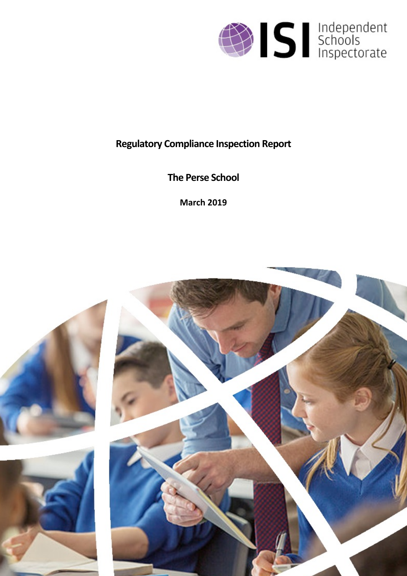

# **Regulatory Compliance Inspection Report**

**The Perse School**

**March 2019**

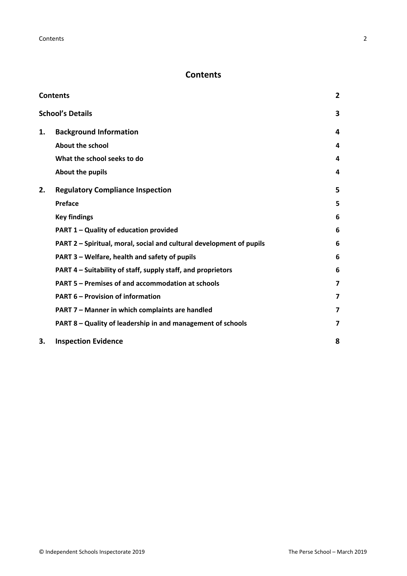# <span id="page-1-0"></span>**Contents**

| <b>Contents</b> |                                                                      |                         |
|-----------------|----------------------------------------------------------------------|-------------------------|
|                 | <b>School's Details</b>                                              | 3                       |
| 1.              | <b>Background Information</b>                                        | 4                       |
|                 | <b>About the school</b>                                              | 4                       |
|                 | What the school seeks to do                                          | 4                       |
|                 | About the pupils                                                     | 4                       |
| 2.              | <b>Regulatory Compliance Inspection</b>                              | 5                       |
|                 | <b>Preface</b>                                                       | 5                       |
|                 | <b>Key findings</b>                                                  | 6                       |
|                 | PART 1 - Quality of education provided                               | 6                       |
|                 | PART 2 - Spiritual, moral, social and cultural development of pupils | 6                       |
|                 | PART 3 – Welfare, health and safety of pupils                        | 6                       |
|                 | PART 4 - Suitability of staff, supply staff, and proprietors         | 6                       |
|                 | PART 5 - Premises of and accommodation at schools                    | 7                       |
|                 | <b>PART 6 - Provision of information</b>                             | $\overline{\mathbf{z}}$ |
|                 | PART 7 - Manner in which complaints are handled                      | 7                       |
|                 | PART 8 - Quality of leadership in and management of schools          | 7                       |
| 3.              | <b>Inspection Evidence</b>                                           | 8                       |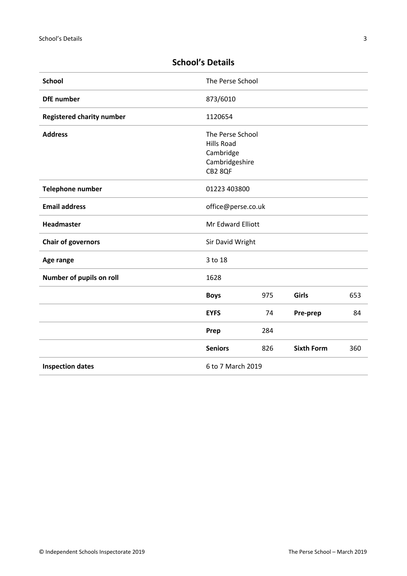| <b>School</b>                    | The Perse School                                                                |     |                   |     |
|----------------------------------|---------------------------------------------------------------------------------|-----|-------------------|-----|
| <b>DfE</b> number                | 873/6010                                                                        |     |                   |     |
| <b>Registered charity number</b> | 1120654                                                                         |     |                   |     |
| <b>Address</b>                   | The Perse School<br><b>Hills Road</b><br>Cambridge<br>Cambridgeshire<br>CB2 8QF |     |                   |     |
| <b>Telephone number</b>          | 01223 403800                                                                    |     |                   |     |
| <b>Email address</b>             | office@perse.co.uk                                                              |     |                   |     |
| Headmaster                       | Mr Edward Elliott                                                               |     |                   |     |
| <b>Chair of governors</b>        | Sir David Wright                                                                |     |                   |     |
| Age range                        | 3 to 18                                                                         |     |                   |     |
| Number of pupils on roll         | 1628                                                                            |     |                   |     |
|                                  | <b>Boys</b>                                                                     | 975 | <b>Girls</b>      | 653 |
|                                  | <b>EYFS</b>                                                                     | 74  | Pre-prep          | 84  |
|                                  | Prep                                                                            | 284 |                   |     |
|                                  | <b>Seniors</b>                                                                  | 826 | <b>Sixth Form</b> | 360 |
| <b>Inspection dates</b>          | 6 to 7 March 2019                                                               |     |                   |     |

# <span id="page-2-0"></span>**School's Details**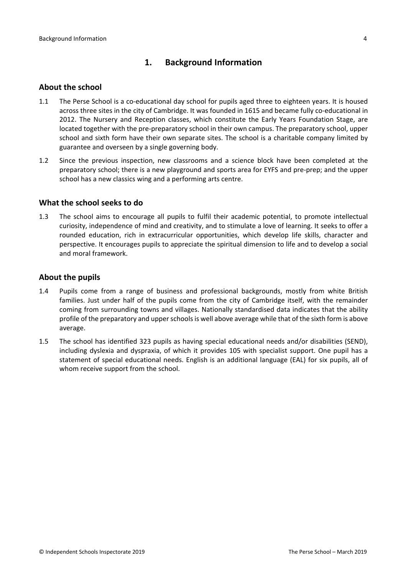# <span id="page-3-0"></span>**1. Background Information**

#### <span id="page-3-1"></span>**About the school**

- 1.1 The Perse School is a co-educational day school for pupils aged three to eighteen years. It is housed across three sites in the city of Cambridge. It was founded in 1615 and became fully co-educational in 2012. The Nursery and Reception classes, which constitute the Early Years Foundation Stage, are located together with the pre-preparatory school in their own campus. The preparatory school, upper school and sixth form have their own separate sites. The school is a charitable company limited by guarantee and overseen by a single governing body.
- 1.2 Since the previous inspection, new classrooms and a science block have been completed at the preparatory school; there is a new playground and sports area for EYFS and pre-prep; and the upper school has a new classics wing and a performing arts centre.

#### <span id="page-3-2"></span>**What the school seeks to do**

1.3 The school aims to encourage all pupils to fulfil their academic potential, to promote intellectual curiosity, independence of mind and creativity, and to stimulate a love of learning. It seeks to offer a rounded education, rich in extracurricular opportunities, which develop life skills, character and perspective. It encourages pupils to appreciate the spiritual dimension to life and to develop a social and moral framework.

#### <span id="page-3-3"></span>**About the pupils**

- 1.4 Pupils come from a range of business and professional backgrounds, mostly from white British families. Just under half of the pupils come from the city of Cambridge itself, with the remainder coming from surrounding towns and villages. Nationally standardised data indicates that the ability profile of the preparatory and upper schools is well above average while that of the sixth form is above average.
- 1.5 The school has identified 323 pupils as having special educational needs and/or disabilities (SEND), including dyslexia and dyspraxia, of which it provides 105 with specialist support. One pupil has a statement of special educational needs. English is an additional language (EAL) for six pupils, all of whom receive support from the school.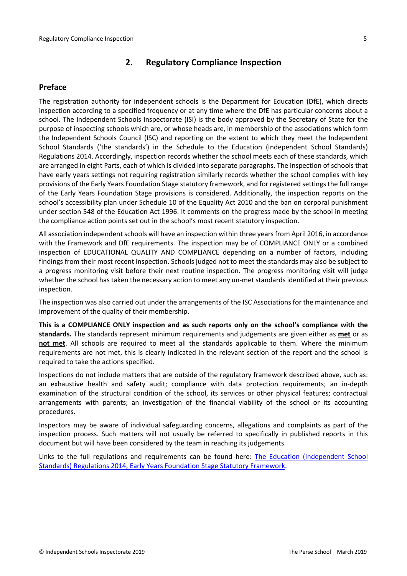# <span id="page-4-0"></span>**2. Regulatory Compliance Inspection**

### <span id="page-4-1"></span>**Preface**

The registration authority for independent schools is the Department for Education (DfE), which directs inspection according to a specified frequency or at any time where the DfE has particular concerns about a school. The Independent Schools Inspectorate (ISI) is the body approved by the Secretary of State for the purpose of inspecting schools which are, or whose heads are, in membership of the associations which form the Independent Schools Council (ISC) and reporting on the extent to which they meet the Independent School Standards ('the standards') in the Schedule to the Education (Independent School Standards) Regulations 2014. Accordingly, inspection records whether the school meets each of these standards, which are arranged in eight Parts, each of which is divided into separate paragraphs. The inspection of schools that have early years settings not requiring registration similarly records whether the school complies with key provisions of the Early Years Foundation Stage statutory framework, and for registered settings the full range of the Early Years Foundation Stage provisions is considered. Additionally, the inspection reports on the school's accessibility plan under Schedule 10 of the Equality Act 2010 and the ban on corporal punishment under section 548 of the Education Act 1996. It comments on the progress made by the school in meeting the compliance action points set out in the school's most recent statutory inspection.

All association independent schools will have an inspection within three yearsfrom April 2016, in accordance with the Framework and DfE requirements. The inspection may be of COMPLIANCE ONLY or a combined inspection of EDUCATIONAL QUALITY AND COMPLIANCE depending on a number of factors, including findings from their most recent inspection. Schools judged not to meet the standards may also be subject to a progress monitoring visit before their next routine inspection. The progress monitoring visit will judge whether the school has taken the necessary action to meet any un-met standards identified at their previous inspection.

The inspection was also carried out under the arrangements of the ISC Associations for the maintenance and improvement of the quality of their membership.

**This is a COMPLIANCE ONLY inspection and as such reports only on the school's compliance with the standards.** The standards represent minimum requirements and judgements are given either as **met** or as **not met**. All schools are required to meet all the standards applicable to them. Where the minimum requirements are not met, this is clearly indicated in the relevant section of the report and the school is required to take the actions specified.

Inspections do not include matters that are outside of the regulatory framework described above, such as: an exhaustive health and safety audit; compliance with data protection requirements; an in-depth examination of the structural condition of the school, its services or other physical features; contractual arrangements with parents; an investigation of the financial viability of the school or its accounting procedures.

Inspectors may be aware of individual safeguarding concerns, allegations and complaints as part of the inspection process. Such matters will not usually be referred to specifically in published reports in this document but will have been considered by the team in reaching its judgements.

Links to the full regulations and requirements can be found here: The Education [\(Independent](http://www.legislation.gov.uk/uksi/2014/3283/contents/made) School Standards) [Regulations](http://www.legislation.gov.uk/uksi/2014/3283/contents/made) 2014, Early Years Foundation Stage Statutory [Framework.](https://www.gov.uk/government/publications/early-years-foundation-stage-framework--2)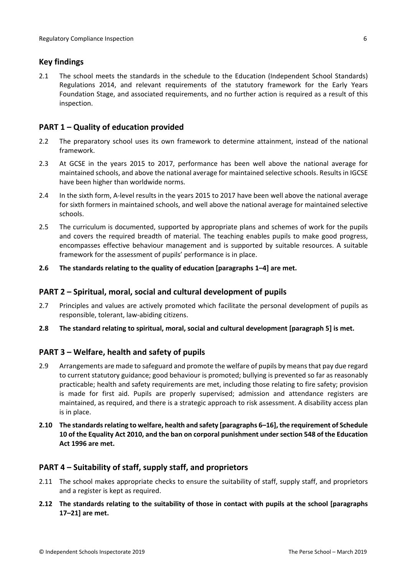## <span id="page-5-0"></span>**Key findings**

2.1 The school meets the standards in the schedule to the Education (Independent School Standards) Regulations 2014, and relevant requirements of the statutory framework for the Early Years Foundation Stage, and associated requirements, and no further action is required as a result of this inspection.

# <span id="page-5-1"></span>**PART 1 – Quality of education provided**

- 2.2 The preparatory school uses its own framework to determine attainment, instead of the national framework.
- 2.3 At GCSE in the years 2015 to 2017, performance has been well above the national average for maintained schools, and above the national average for maintained selective schools. Results in IGCSE have been higher than worldwide norms.
- 2.4 In the sixth form, A-level results in the years 2015 to 2017 have been well above the national average for sixth formers in maintained schools, and well above the national average for maintained selective schools.
- 2.5 The curriculum is documented, supported by appropriate plans and schemes of work for the pupils and covers the required breadth of material. The teaching enables pupils to make good progress, encompasses effective behaviour management and is supported by suitable resources. A suitable framework for the assessment of pupils' performance is in place.
- **2.6 The standards relating to the quality of education [paragraphs 1–4] are met.**

#### <span id="page-5-2"></span>**PART 2 – Spiritual, moral, social and cultural development of pupils**

- 2.7 Principles and values are actively promoted which facilitate the personal development of pupils as responsible, tolerant, law-abiding citizens.
- **2.8 The standard relating to spiritual, moral, social and cultural development [paragraph 5] is met.**

#### <span id="page-5-3"></span>**PART 3 – Welfare, health and safety of pupils**

- 2.9 Arrangements are made to safeguard and promote the welfare of pupils by meansthat pay due regard to current statutory guidance; good behaviour is promoted; bullying is prevented so far as reasonably practicable; health and safety requirements are met, including those relating to fire safety; provision is made for first aid. Pupils are properly supervised; admission and attendance registers are maintained, as required, and there is a strategic approach to risk assessment. A disability access plan is in place.
- **2.10 The standardsrelating to welfare, health and safety [paragraphs 6–16], the requirement of Schedule 10 of the Equality Act 2010, and the ban on corporal punishment undersection 548 of the Education Act 1996 are met.**

#### <span id="page-5-4"></span>**PART 4 – Suitability of staff, supply staff, and proprietors**

- 2.11 The school makes appropriate checks to ensure the suitability of staff, supply staff, and proprietors and a register is kept as required.
- **2.12 The standards relating to the suitability of those in contact with pupils at the school [paragraphs 17–21] are met.**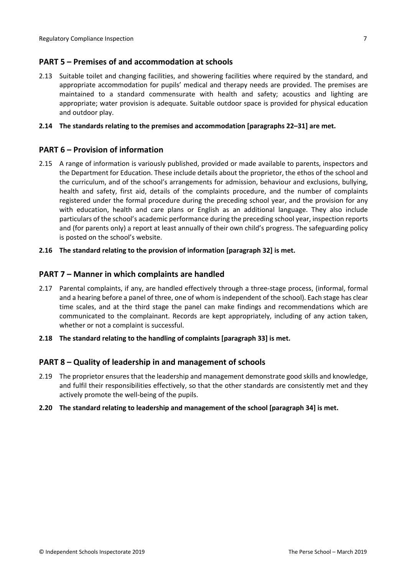## <span id="page-6-0"></span>**PART 5 – Premises of and accommodation at schools**

2.13 Suitable toilet and changing facilities, and showering facilities where required by the standard, and appropriate accommodation for pupils' medical and therapy needs are provided. The premises are maintained to a standard commensurate with health and safety; acoustics and lighting are appropriate; water provision is adequate. Suitable outdoor space is provided for physical education and outdoor play.

#### **2.14 The standards relating to the premises and accommodation [paragraphs 22–31] are met.**

#### <span id="page-6-1"></span>**PART 6 – Provision of information**

2.15 A range of information is variously published, provided or made available to parents, inspectors and the Department for Education. These include details about the proprietor, the ethos of the school and the curriculum, and of the school's arrangements for admission, behaviour and exclusions, bullying, health and safety, first aid, details of the complaints procedure, and the number of complaints registered under the formal procedure during the preceding school year, and the provision for any with education, health and care plans or English as an additional language. They also include particulars of the school's academic performance during the preceding school year, inspection reports and (for parents only) a report at least annually of their own child's progress. The safeguarding policy is posted on the school's website.

#### **2.16 The standard relating to the provision of information [paragraph 32] is met.**

#### <span id="page-6-2"></span>**PART 7 – Manner in which complaints are handled**

- 2.17 Parental complaints, if any, are handled effectively through a three-stage process, (informal, formal and a hearing before a panel of three, one of whom is independent of the school). Each stage has clear time scales, and at the third stage the panel can make findings and recommendations which are communicated to the complainant. Records are kept appropriately, including of any action taken, whether or not a complaint is successful.
- **2.18 The standard relating to the handling of complaints [paragraph 33] is met.**

#### <span id="page-6-3"></span>**PART 8 – Quality of leadership in and management of schools**

2.19 The proprietor ensures that the leadership and management demonstrate good skills and knowledge, and fulfil their responsibilities effectively, so that the other standards are consistently met and they actively promote the well-being of the pupils.

#### **2.20 The standard relating to leadership and management of the school [paragraph 34] is met.**